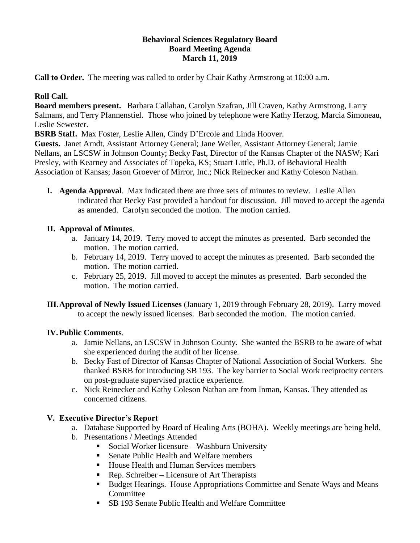## **Behavioral Sciences Regulatory Board Board Meeting Agenda March 11, 2019**

**Call to Order.** The meeting was called to order by Chair Kathy Armstrong at 10:00 a.m.

# **Roll Call.**

**Board members present.** Barbara Callahan, Carolyn Szafran, Jill Craven, Kathy Armstrong, Larry Salmans, and Terry Pfannenstiel. Those who joined by telephone were Kathy Herzog, Marcia Simoneau, Leslie Sewester.

**BSRB Staff.** Max Foster, Leslie Allen, Cindy D'Ercole and Linda Hoover.

**Guests.** Janet Arndt, Assistant Attorney General; Jane Weiler, Assistant Attorney General; Jamie Nellans, an LSCSW in Johnson County; Becky Fast, Director of the Kansas Chapter of the NASW; Kari Presley, with Kearney and Associates of Topeka, KS; Stuart Little, Ph.D. of Behavioral Health Association of Kansas; Jason Groever of Mirror, Inc.; Nick Reinecker and Kathy Coleson Nathan.

**I. Agenda Approval**. Max indicated there are three sets of minutes to review. Leslie Allen indicated that Becky Fast provided a handout for discussion. Jill moved to accept the agenda as amended. Carolyn seconded the motion. The motion carried.

# **II. Approval of Minutes**.

- a. January 14, 2019. Terry moved to accept the minutes as presented. Barb seconded the motion. The motion carried.
- b. February 14, 2019. Terry moved to accept the minutes as presented. Barb seconded the motion. The motion carried.
- c. February 25, 2019. Jill moved to accept the minutes as presented. Barb seconded the motion. The motion carried.
- **III.Approval of Newly Issued Licenses** (January 1, 2019 through February 28, 2019). Larry moved to accept the newly issued licenses. Barb seconded the motion. The motion carried.

## **IV.Public Comments**.

- a. Jamie Nellans, an LSCSW in Johnson County. She wanted the BSRB to be aware of what she experienced during the audit of her license.
- b. Becky Fast of Director of Kansas Chapter of National Association of Social Workers. She thanked BSRB for introducing SB 193. The key barrier to Social Work reciprocity centers on post-graduate supervised practice experience.
- c. Nick Reinecker and Kathy Coleson Nathan are from Inman, Kansas. They attended as concerned citizens.

# **V. Executive Director's Report**

- a. Database Supported by Board of Healing Arts (BOHA). Weekly meetings are being held.
- b. Presentations / Meetings Attended
	- Social Worker licensure Washburn University
	- Senate Public Health and Welfare members
	- House Health and Human Services members
	- Rep. Schreiber Licensure of Art Therapists
	- Budget Hearings. House Appropriations Committee and Senate Ways and Means Committee
	- SB 193 Senate Public Health and Welfare Committee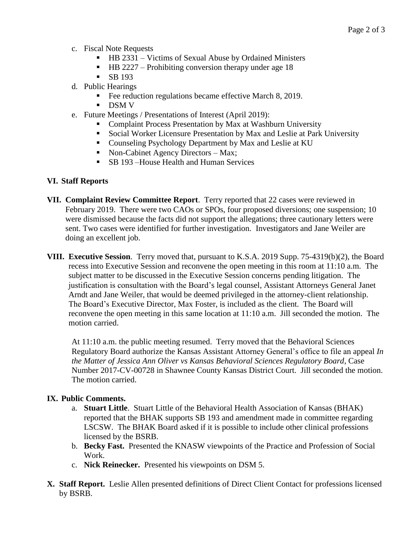- c. Fiscal Note Requests
	- HB 2331 Victims of Sexual Abuse by Ordained Ministers
	- HB 2227 Prohibiting conversion therapy under age 18
	- $\blacksquare$  SB 193
- d. Public Hearings
	- Fee reduction regulations became effective March 8, 2019.
	- DSM V
- e. Future Meetings / Presentations of Interest (April 2019):
	- Complaint Process Presentation by Max at Washburn University
	- Social Worker Licensure Presentation by Max and Leslie at Park University
	- Counseling Psychology Department by Max and Leslie at KU
	- Non-Cabinet Agency Directors Max;
	- SB 193 –House Health and Human Services

### **VI. Staff Reports**

- **VII. Complaint Review Committee Report**. Terry reported that 22 cases were reviewed in February 2019. There were two CAOs or SPOs, four proposed diversions; one suspension; 10 were dismissed because the facts did not support the allegations; three cautionary letters were sent. Two cases were identified for further investigation. Investigators and Jane Weiler are doing an excellent job.
- **VIII. Executive Session**. Terry moved that, pursuant to K.S.A. 2019 Supp. 75-4319(b)(2), the Board recess into Executive Session and reconvene the open meeting in this room at 11:10 a.m. The subject matter to be discussed in the Executive Session concerns pending litigation. The justification is consultation with the Board's legal counsel, Assistant Attorneys General Janet Arndt and Jane Weiler, that would be deemed privileged in the attorney-client relationship. The Board's Executive Director, Max Foster, is included as the client. The Board will reconvene the open meeting in this same location at 11:10 a.m. Jill seconded the motion. The motion carried.

At 11:10 a.m. the public meeting resumed. Terry moved that the Behavioral Sciences Regulatory Board authorize the Kansas Assistant Attorney General's office to file an appeal *In the Matter of Jessica Ann Oliver vs Kansas Behavioral Sciences Regulatory Board*, Case Number 2017-CV-00728 in Shawnee County Kansas District Court. Jill seconded the motion. The motion carried.

#### **IX. Public Comments.**

- a. **Stuart Little**. Stuart Little of the Behavioral Health Association of Kansas (BHAK) reported that the BHAK supports SB 193 and amendment made in committee regarding LSCSW. The BHAK Board asked if it is possible to include other clinical professions licensed by the BSRB.
- b. **Becky Fast.** Presented the KNASW viewpoints of the Practice and Profession of Social Work.
- c. **Nick Reinecker.** Presented his viewpoints on DSM 5.
- **X. Staff Report.** Leslie Allen presented definitions of Direct Client Contact for professions licensed by BSRB.